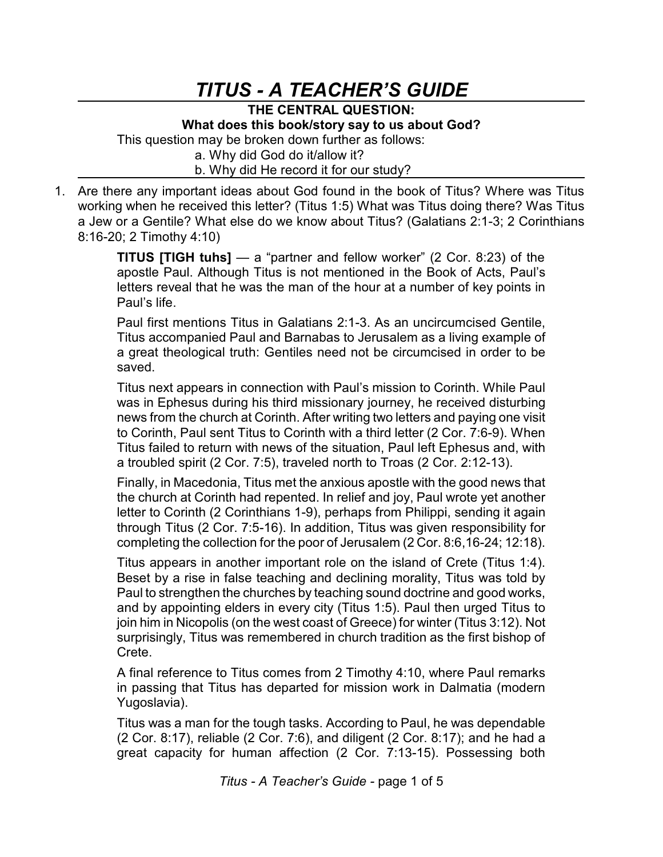## *TITUS - A TEACHER'S GUIDE*

**THE CENTRAL QUESTION: What does this book/story say to us about God?** This question may be broken down further as follows: a. Why did God do it/allow it? b. Why did He record it for our study?

1. Are there any important ideas about God found in the book of Titus? Where was Titus working when he received this letter? (Titus 1:5) What was Titus doing there? Was Titus a Jew or a Gentile? What else do we know about Titus? (Galatians 2:1-3; 2 Corinthians 8:16-20; 2 Timothy 4:10)

> **TITUS [TIGH tuhs]** — a "partner and fellow worker" (2 Cor. 8:23) of the apostle Paul. Although Titus is not mentioned in the Book of Acts, Paul's letters reveal that he was the man of the hour at a number of key points in Paul's life.

> Paul first mentions Titus in Galatians 2:1-3. As an uncircumcised Gentile, Titus accompanied Paul and Barnabas to Jerusalem as a living example of a great theological truth: Gentiles need not be circumcised in order to be saved.

> Titus next appears in connection with Paul's mission to Corinth. While Paul was in Ephesus during his third missionary journey, he received disturbing news from the church at Corinth. After writing two letters and paying one visit to Corinth, Paul sent Titus to Corinth with a third letter (2 Cor. 7:6-9). When Titus failed to return with news of the situation, Paul left Ephesus and, with a troubled spirit (2 Cor. 7:5), traveled north to Troas (2 Cor. 2:12-13).

> Finally, in Macedonia, Titus met the anxious apostle with the good news that the church at Corinth had repented. In relief and joy, Paul wrote yet another letter to Corinth (2 Corinthians 1-9), perhaps from Philippi, sending it again through Titus (2 Cor. 7:5-16). In addition, Titus was given responsibility for completing the collection for the poor of Jerusalem (2 Cor. 8:6,16-24; 12:18).

> Titus appears in another important role on the island of Crete (Titus 1:4). Beset by a rise in false teaching and declining morality, Titus was told by Paul to strengthen the churches by teaching sound doctrine and good works, and by appointing elders in every city (Titus 1:5). Paul then urged Titus to join him in Nicopolis (on the west coast of Greece) for winter (Titus 3:12). Not surprisingly, Titus was remembered in church tradition as the first bishop of Crete.

> A final reference to Titus comes from 2 Timothy 4:10, where Paul remarks in passing that Titus has departed for mission work in Dalmatia (modern Yugoslavia).

> Titus was a man for the tough tasks. According to Paul, he was dependable (2 Cor. 8:17), reliable (2 Cor. 7:6), and diligent (2 Cor. 8:17); and he had a great capacity for human affection (2 Cor. 7:13-15). Possessing both

> > *Titus - A Teacher's Guide -* page 1 of 5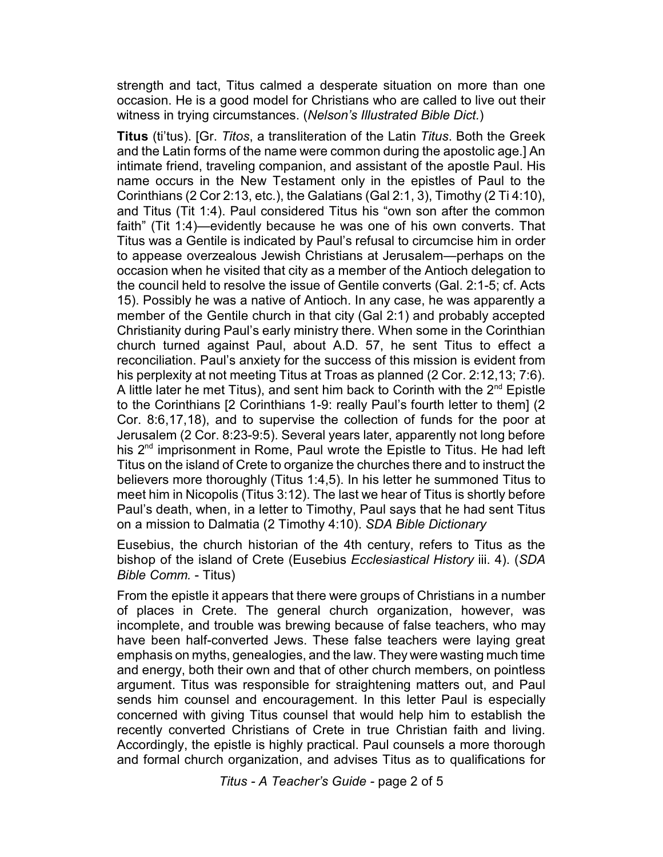strength and tact, Titus calmed a desperate situation on more than one occasion. He is a good model for Christians who are called to live out their witness in trying circumstances. (*Nelson's Illustrated Bible Dict.*)

**Titus** (ti'tus). [Gr. *Titos*, a transliteration of the Latin *Titus*. Both the Greek and the Latin forms of the name were common during the apostolic age.] An intimate friend, traveling companion, and assistant of the apostle Paul. His name occurs in the New Testament only in the epistles of Paul to the Corinthians (2 Cor 2:13, etc.), the Galatians (Gal 2:1, 3), Timothy (2 Ti 4:10), and Titus (Tit 1:4). Paul considered Titus his "own son after the common faith" (Tit 1:4)—evidently because he was one of his own converts. That Titus was a Gentile is indicated by Paul's refusal to circumcise him in order to appease overzealous Jewish Christians at Jerusalem—perhaps on the occasion when he visited that city as a member of the Antioch delegation to the council held to resolve the issue of Gentile converts (Gal. 2:1-5; cf. Acts 15). Possibly he was a native of Antioch. In any case, he was apparently a member of the Gentile church in that city (Gal 2:1) and probably accepted Christianity during Paul's early ministry there. When some in the Corinthian church turned against Paul, about A.D. 57, he sent Titus to effect a reconciliation. Paul's anxiety for the success of this mission is evident from his perplexity at not meeting Titus at Troas as planned (2 Cor. 2:12,13; 7:6). A little later he met Titus), and sent him back to Corinth with the  $2<sup>nd</sup>$  Epistle to the Corinthians [2 Corinthians 1-9: really Paul's fourth letter to them] (2 Cor. 8:6,17,18), and to supervise the collection of funds for the poor at Jerusalem (2 Cor. 8:23-9:5). Several years later, apparently not long before his  $2<sup>nd</sup>$  imprisonment in Rome, Paul wrote the Epistle to Titus. He had left Titus on the island of Crete to organize the churches there and to instruct the believers more thoroughly (Titus 1:4,5). In his letter he summoned Titus to meet him in Nicopolis (Titus 3:12). The last we hear of Titus is shortly before Paul's death, when, in a letter to Timothy, Paul says that he had sent Titus on a mission to Dalmatia (2 Timothy 4:10). *SDA Bible Dictionary*

Eusebius, the church historian of the 4th century, refers to Titus as the bishop of the island of Crete (Eusebius *Ecclesiastical History* iii. 4). (*SDA Bible Comm.* - Titus)

From the epistle it appears that there were groups of Christians in a number of places in Crete. The general church organization, however, was incomplete, and trouble was brewing because of false teachers, who may have been half-converted Jews. These false teachers were laying great emphasis on myths, genealogies, and the law. They were wasting much time and energy, both their own and that of other church members, on pointless argument. Titus was responsible for straightening matters out, and Paul sends him counsel and encouragement. In this letter Paul is especially concerned with giving Titus counsel that would help him to establish the recently converted Christians of Crete in true Christian faith and living. Accordingly, the epistle is highly practical. Paul counsels a more thorough and formal church organization, and advises Titus as to qualifications for

*Titus - A Teacher's Guide -* page 2 of 5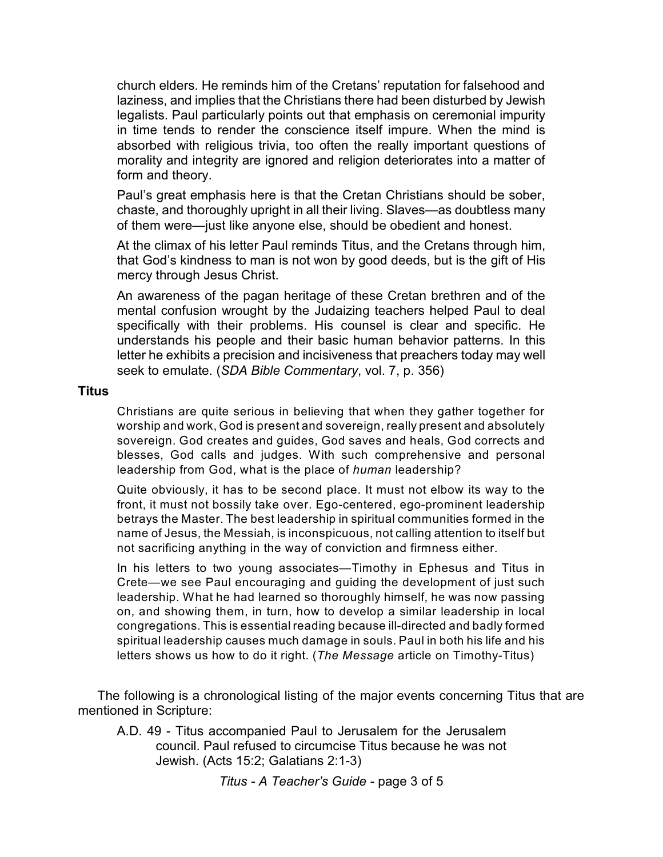church elders. He reminds him of the Cretans' reputation for falsehood and laziness, and implies that the Christians there had been disturbed by Jewish legalists. Paul particularly points out that emphasis on ceremonial impurity in time tends to render the conscience itself impure. When the mind is absorbed with religious trivia, too often the really important questions of morality and integrity are ignored and religion deteriorates into a matter of form and theory.

Paul's great emphasis here is that the Cretan Christians should be sober, chaste, and thoroughly upright in all their living. Slaves—as doubtless many of them were—just like anyone else, should be obedient and honest.

At the climax of his letter Paul reminds Titus, and the Cretans through him, that God's kindness to man is not won by good deeds, but is the gift of His mercy through Jesus Christ.

An awareness of the pagan heritage of these Cretan brethren and of the mental confusion wrought by the Judaizing teachers helped Paul to deal specifically with their problems. His counsel is clear and specific. He understands his people and their basic human behavior patterns. In this letter he exhibits a precision and incisiveness that preachers today may well seek to emulate. (*SDA Bible Commentary*, vol. 7, p. 356)

## **Titus**

Christians are quite serious in believing that when they gather together for worship and work, God is present and sovereign, really present and absolutely sovereign. God creates and guides, God saves and heals, God corrects and blesses, God calls and judges. With such comprehensive and personal leadership from God, what is the place of *human* leadership?

Quite obviously, it has to be second place. It must not elbow its way to the front, it must not bossily take over. Ego-centered, ego-prominent leadership betrays the Master. The best leadership in spiritual communities formed in the name of Jesus, the Messiah, is inconspicuous, not calling attention to itself but not sacrificing anything in the way of conviction and firmness either.

In his letters to two young associates—Timothy in Ephesus and Titus in Crete—we see Paul encouraging and guiding the development of just such leadership. What he had learned so thoroughly himself, he was now passing on, and showing them, in turn, how to develop a similar leadership in local congregations. This is essential reading because ill-directed and badly formed spiritual leadership causes much damage in souls. Paul in both his life and his letters shows us how to do it right. (*The Message* article on Timothy-Titus)

The following is a chronological listing of the major events concerning Titus that are mentioned in Scripture:

A.D. 49 - Titus accompanied Paul to Jerusalem for the Jerusalem council. Paul refused to circumcise Titus because he was not Jewish. (Acts 15:2; Galatians 2:1-3)

*Titus - A Teacher's Guide -* page 3 of 5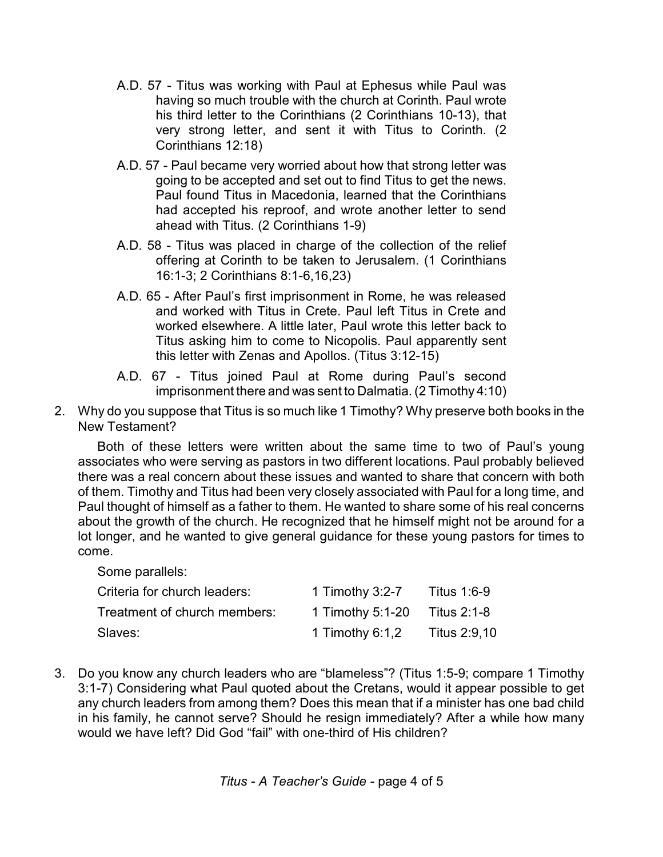- A.D. 57 Titus was working with Paul at Ephesus while Paul was having so much trouble with the church at Corinth. Paul wrote his third letter to the Corinthians (2 Corinthians 10-13), that very strong letter, and sent it with Titus to Corinth. (2 Corinthians 12:18)
- A.D. 57 Paul became very worried about how that strong letter was going to be accepted and set out to find Titus to get the news. Paul found Titus in Macedonia, learned that the Corinthians had accepted his reproof, and wrote another letter to send ahead with Titus. (2 Corinthians 1-9)
- A.D. 58 Titus was placed in charge of the collection of the relief offering at Corinth to be taken to Jerusalem. (1 Corinthians 16:1-3; 2 Corinthians 8:1-6,16,23)
- A.D. 65 After Paul's first imprisonment in Rome, he was released and worked with Titus in Crete. Paul left Titus in Crete and worked elsewhere. A little later, Paul wrote this letter back to Titus asking him to come to Nicopolis. Paul apparently sent this letter with Zenas and Apollos. (Titus 3:12-15)
- A.D. 67 Titus joined Paul at Rome during Paul's second imprisonment there and was sent to Dalmatia. (2 Timothy 4:10)
- 2. Why do you suppose that Titus is so much like 1 Timothy? Why preserve both books in the New Testament?

Both of these letters were written about the same time to two of Paul's young associates who were serving as pastors in two different locations. Paul probably believed there was a real concern about these issues and wanted to share that concern with both of them. Timothy and Titus had been very closely associated with Paul for a long time, and Paul thought of himself as a father to them. He wanted to share some of his real concerns about the growth of the church. He recognized that he himself might not be around for a lot longer, and he wanted to give general guidance for these young pastors for times to come.

Some parallels:

| Criteria for church leaders: | 1 Timothy $3:2-7$ | <b>Titus 1:6-9</b> |
|------------------------------|-------------------|--------------------|
| Treatment of church members: | 1 Timothy 5:1-20  | Titus 2:1-8        |
| Slaves:                      | 1 Timothy 6:1,2   | Titus 2:9,10       |

3. Do you know any church leaders who are "blameless"? (Titus 1:5-9; compare 1 Timothy 3:1-7) Considering what Paul quoted about the Cretans, would it appear possible to get any church leaders from among them? Does this mean that if a minister has one bad child in his family, he cannot serve? Should he resign immediately? After a while how many would we have left? Did God "fail" with one-third of His children?